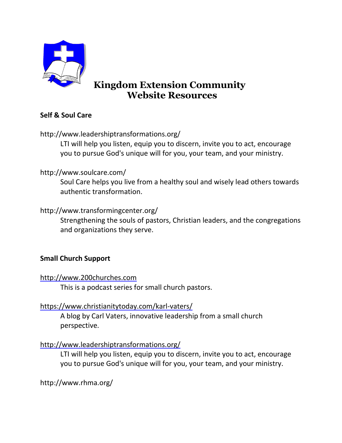

# **Kingdom Extension Community Website Resources**

# **Self & Soul Care**

http://www.leadershiptransformations.org/

LTI will help you listen, equip you to discern, invite you to act, encourage you to pursue God's unique will for you, your team, and your ministry.

### http://www.soulcare.com/

Soul Care helps you live from a healthy soul and wisely lead others towards authentic transformation.

### http://www.transformingcenter.org/

Strengthening the souls of pastors, Christian leaders, and the congregations and organizations they serve.

# **Small Church Support**

### [http://www.200churches.com](http://www.200churches.com/)

This is a podcast series for small church pastors.

### <https://www.christianitytoday.com/karl-vaters/>

A blog by Carl Vaters, innovative leadership from a small church perspective.

# <http://www.leadershiptransformations.org/>

LTI will help you listen, equip you to discern, invite you to act, encourage you to pursue God's unique will for you, your team, and your ministry.

http://www.rhma.org/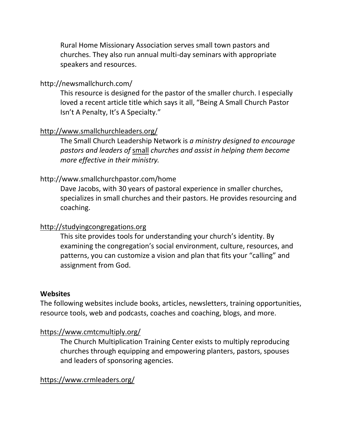Rural Home Missionary Association serves small town pastors and churches. They also run annual multi-day seminars with appropriate speakers and resources.

#### http://newsmallchurch.com/

This resource is designed for the pastor of the smaller church. I especially loved a recent article title which says it all, "Being A Small Church Pastor Isn't A Penalty, It's A Specialty."

#### <http://www.smallchurchleaders.org/>

The Small Church Leadership Network is *a ministry designed to encourage pastors and leaders of* [small](http://example.com/) *churches and assist in helping them become more effective in their ministry.*

#### http://www.smallchurchpastor.com/home

Dave Jacobs, with 30 years of pastoral experience in smaller churches, specializes in small churches and their pastors. He provides resourcing and coaching.

#### [http://studyingcongregations.org](http://studyingcongregations.org/)

This site provides tools for understanding your church's identity. By examining the congregation's social environment, culture, resources, and patterns, you can customize a vision and plan that fits your "calling" and assignment from God.

#### **Websites**

The following websites include books, articles, newsletters, training opportunities, resource tools, web and podcasts, coaches and coaching, blogs, and more.

#### <https://www.cmtcmultiply.org/>

The Church Multiplication Training Center exists to multiply reproducing churches through equipping and empowering planters, pastors, spouses and leaders of sponsoring agencies.

#### <https://www.crmleaders.org/>